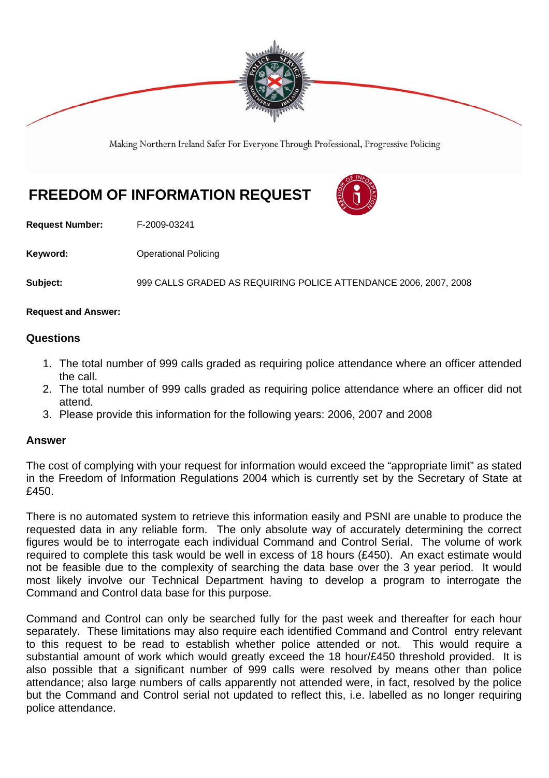

Making Northern Ireland Safer For Everyone Through Professional, Progressive Policing

## **FREEDOM OF INFORMATION REQUEST**



**Request Number:** F-2009-03241

**Keyword: C**Derational Policing

**Subject:** 999 CALLS GRADED AS REQUIRING POLICE ATTENDANCE 2006, 2007, 2008

**Request and Answer:** 

## **Questions**

- 1. The total number of 999 calls graded as requiring police attendance where an officer attended the call.
- 2. The total number of 999 calls graded as requiring police attendance where an officer did not attend.
- 3. Please provide this information for the following years: 2006, 2007 and 2008

## **Answer**

The cost of complying with your request for information would exceed the "appropriate limit" as stated in the Freedom of Information Regulations 2004 which is currently set by the Secretary of State at £450.

There is no automated system to retrieve this information easily and PSNI are unable to produce the requested data in any reliable form. The only absolute way of accurately determining the correct figures would be to interrogate each individual Command and Control Serial. The volume of work required to complete this task would be well in excess of 18 hours (£450). An exact estimate would not be feasible due to the complexity of searching the data base over the 3 year period. It would most likely involve our Technical Department having to develop a program to interrogate the Command and Control data base for this purpose.

Command and Control can only be searched fully for the past week and thereafter for each hour separately. These limitations may also require each identified Command and Control entry relevant to this request to be read to establish whether police attended or not. This would require a substantial amount of work which would greatly exceed the 18 hour/£450 threshold provided. It is also possible that a significant number of 999 calls were resolved by means other than police attendance; also large numbers of calls apparently not attended were, in fact, resolved by the police but the Command and Control serial not updated to reflect this, i.e. labelled as no longer requiring police attendance.